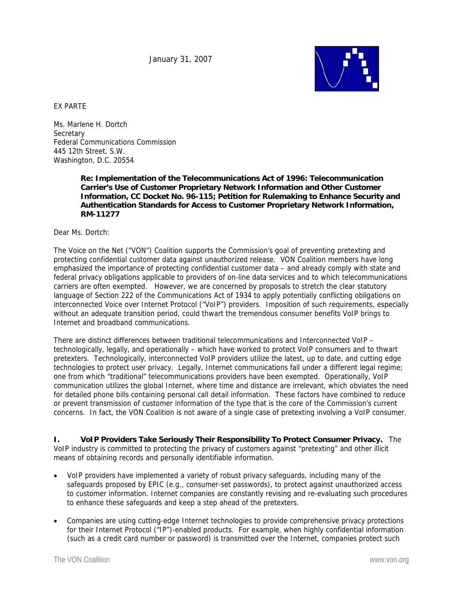January 31, 2007



EX PARTE

Ms. Marlene H. Dortch **Secretary** Federal Communications Commission 445 12th Street, S.W. Washington, D.C. 20554

> **Re: Implementation of the Telecommunications Act of 1996: Telecommunication Carrier's Use of Customer Proprietary Network Information and Other Customer Information, CC Docket No. 96-115; Petition for Rulemaking to Enhance Security and Authentication Standards for Access to Customer Proprietary Network Information, RM-11277**

Dear Ms. Dortch:

The Voice on the Net ("VON") Coalition supports the Commission's goal of preventing pretexting and protecting confidential customer data against unauthorized release. VON Coalition members have long emphasized the importance of protecting confidential customer data – and already comply with state and federal privacy obligations applicable to providers of on-line data services and to which telecommunications carriers are often exempted. However, we are concerned by proposals to stretch the clear statutory language of Section 222 of the Communications Act of 1934 to apply potentially conflicting obligations on interconnected Voice over Internet Protocol ("VoIP") providers. Imposition of such requirements, especially without an adequate transition period, could thwart the tremendous consumer benefits VoIP brings to Internet and broadband communications.

There are distinct differences between traditional telecommunications and Interconnected VoIP – technologically, legally, and operationally – which have worked to protect VoIP consumers and to thwart pretexters. Technologically, interconnected VoIP providers utilize the latest, up to date, and cutting edge technologies to protect user privacy. Legally, Internet communications fall under a different legal regime; one from which "traditional" telecommunications providers have been exempted. Operationally, VoIP communication utilizes the global Internet, where time and distance are irrelevant, which obviates the need for detailed phone bills containing personal call detail information. These factors have combined to reduce or prevent transmission of customer information of the type that is the core of the Commission's current concerns. In fact, the VON Coalition is not aware of a single case of pretexting involving a VoIP consumer.

**I. VoIP Providers Take Seriously Their Responsibility To Protect Consumer Privacy.** The VoIP industry is committed to protecting the privacy of customers against "pretexting" and other illicit means of obtaining records and personally identifiable information.

- VoIP providers have implemented a variety of robust privacy safeguards, including many of the safeguards proposed by EPIC (e.g., consumer-set passwords), to protect against unauthorized access to customer information. Internet companies are constantly revising and re-evaluating such procedures to enhance these safeguards and keep a step ahead of the pretexters.
- Companies are using cutting-edge Internet technologies to provide comprehensive privacy protections for their Internet Protocol ("IP")-enabled products. For example, when highly confidential information (such as a credit card number or password) is transmitted over the Internet, companies protect such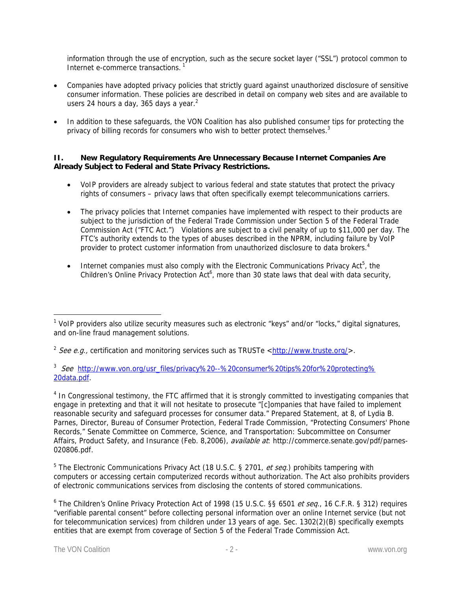information through the use of encryption, such as the secure socket layer ("SSL") protocol common to Internet e-commerce transactions.<sup>1</sup>

- Companies have adopted privacy policies that strictly guard against unauthorized disclosure of sensitive consumer information. These policies are described in detail on company web sites and are available to users 24 hours a day, 365 days a year. $2$
- In addition to these safeguards, the VON Coalition has also published consumer tips for protecting the privacy of billing records for consumers who wish to better protect themselves. $3$

## **II. New Regulatory Requirements Are Unnecessary Because Internet Companies Are Already Subject to Federal and State Privacy Restrictions.**

- VoIP providers are already subject to various federal and state statutes that protect the privacy rights of consumers – privacy laws that often specifically exempt telecommunications carriers.
- The privacy policies that Internet companies have implemented with respect to their products are subject to the jurisdiction of the Federal Trade Commission under Section 5 of the Federal Trade Commission Act ("FTC Act.") Violations are subject to a civil penalty of up to \$11,000 per day. The FTC's authority extends to the types of abuses described in the NPRM, including failure by VoIP provider to protect customer information from unauthorized disclosure to data brokers.<sup>4</sup>
- Internet companies must also comply with the Electronic Communications Privacy Act<sup>5</sup>, the Children's Online Privacy Protection Act<sup>6</sup>, more than 30 state laws that deal with data security,

<sup>3</sup> See http://www.von.org/usr\_files/privacy%20--%20consumer%20tips%20for%20protecting% 20data.pdf.

<sup>4</sup> In Congressional testimony, the FTC affirmed that it is strongly committed to investigating companies that engage in pretexting and that it will not hesitate to prosecute "[c]ompanies that have failed to implement reasonable security and safeguard processes for consumer data." Prepared Statement, at 8, of Lydia B. Parnes, Director, Bureau of Consumer Protection, Federal Trade Commission, "Protecting Consumers' Phone Records," Senate Committee on Commerce, Science, and Transportation: Subcommittee on Consumer Affairs, Product Safety, and Insurance (Feb. 8,2006), *available at*: http://commerce.senate.gov/pdf/parnes-020806.pdf.

<sup>5</sup> The Electronic Communications Privacy Act (18 U.S.C. § 2701, et seq.) prohibits tampering with computers or accessing certain computerized records without authorization. The Act also prohibits providers of electronic communications services from disclosing the contents of stored communications.

<sup>6</sup> The Children's Online Privacy Protection Act of 1998 (15 U.S.C. §§ 6501 *et seq.*, 16 C.F.R. § 312) requires "verifiable parental consent" before collecting personal information over an online Internet service (but not for telecommunication services) from children under 13 years of age. Sec. 1302(2)(B) specifically exempts entities that are exempt from coverage of Section 5 of the Federal Trade Commission Act.

<sup>&</sup>lt;sup>1</sup> VoIP providers also utilize security measures such as electronic "keys" and/or "locks," digital signatures, and on-line fraud management solutions.

<sup>&</sup>lt;sup>2</sup> See e.a., certification and monitoring services such as TRUSTe <http://www.truste.org/>.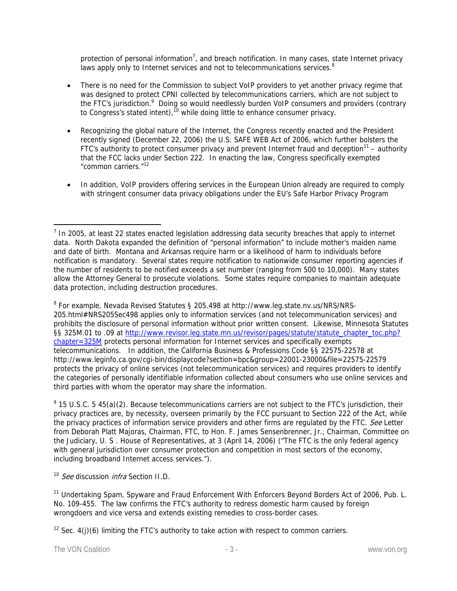protection of personal information<sup>7</sup>, and breach notification. In many cases, state Internet privacy laws apply only to Internet services and not to telecommunications services.<sup>8</sup>

- There is no need for the Commission to subject VoIP providers to yet another privacy regime that was designed to protect CPNI collected by telecommunications carriers, which are not subject to the FTC's jurisdiction.<sup>9</sup> Doing so would needlessly burden VoIP consumers and providers (contrary to Congress's stated intent),<sup>10</sup> while doing little to enhance consumer privacy.
- Recognizing the global nature of the Internet, the Congress recently enacted and the President recently signed (December 22, 2006) the U.S. SAFE WEB Act of 2006, which further bolsters the FTC's authority to protect consumer privacy and prevent Internet fraud and deception<sup>11</sup> – authority that the FCC lacks under Section 222. In enacting the law, Congress specifically exempted "common carriers."12
- In addition, VoIP providers offering services in the European Union already are required to comply with stringent consumer data privacy obligations under the EU's Safe Harbor Privacy Program

<sup>8</sup> For example, Nevada Revised Statutes § 205.498 at http://www.leg.state.nv.us/NRS/NRS-205.html#NRS205Sec498 applies only to information services (and not telecommunication services) and prohibits the disclosure of personal information without prior written consent. Likewise, Minnesota Statutes §§ 325M.01 to .09 at http://www.revisor.leg.state.mn.us/revisor/pages/statute/statute\_chapter\_toc.php? chapter=325M protects personal information for Internet services and specifically exempts telecommunications. In addition, the California Business & Professions Code §§ 22575-22578 at http://www.leginfo.ca.gov/cgi-bin/displaycode?section=bpc&group=22001-23000&file=22575-22579 protects the privacy of online services (not telecommunication services) and requires providers to identify the categories of personally identifiable information collected about consumers who use online services and third parties with whom the operator may share the information.

 $9$  15 U.S.C. 5 45(a)(2). Because telecommunications carriers are not subject to the FTC's jurisdiction, their privacy practices are, by necessity, overseen primarily by the FCC pursuant to Section 222 of the Act, while the privacy practices of information service providers and other firms are regulated by the FTC. See Letter from Deborah Platt Majoras, Chairman, FTC, to Hon. F. James Sensenbrenner, Jr., Chairman, Committee on the Judiciary, U. S . House of Representatives, at 3 (April 14, 2006) ("The FTC is the only federal agency with general jurisdiction over consumer protection and competition in most sectors of the economy, including broadband Internet access services.").

<sup>10</sup> See discussion *infra* Section II.D.

<sup>11</sup> Undertaking Spam, Spyware and Fraud Enforcement With Enforcers Beyond Borders Act of 2006, Pub. L. No. 109-455. The law confirms the FTC's authority to redress domestic harm caused by foreign wrongdoers and vice versa and extends existing remedies to cross-border cases.

<sup>12</sup> Sec.  $4(j)(6)$  limiting the FTC's authority to take action with respect to common carriers.

 $\overline{a}$  $<sup>7</sup>$  In 2005, at least 22 states enacted legislation addressing data security breaches that apply to internet</sup> data. North Dakota expanded the definition of "personal information" to include mother's maiden name and date of birth. Montana and Arkansas require harm or a likelihood of harm to individuals before notification is mandatory. Several states require notification to nationwide consumer reporting agencies if the number of residents to be notified exceeds a set number (ranging from 500 to 10,000). Many states allow the Attorney General to prosecute violations. Some states require companies to maintain adequate data protection, including destruction procedures.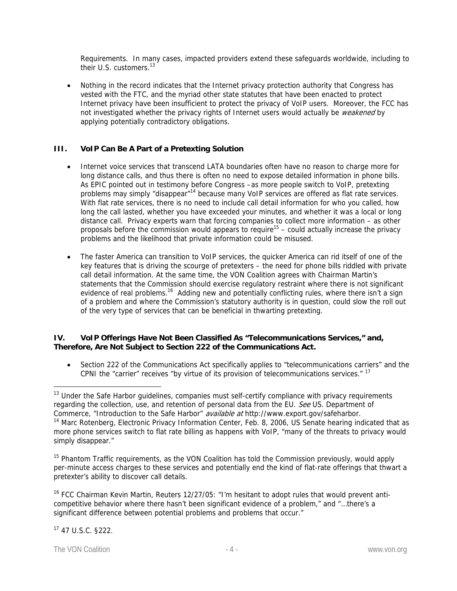Requirements. In many cases, impacted providers extend these safeguards worldwide, including to their U.S. customers.<sup>13</sup>

• Nothing in the record indicates that the Internet privacy protection authority that Congress has vested with the FTC, and the myriad other state statutes that have been enacted to protect Internet privacy have been insufficient to protect the privacy of VoIP users. Moreover, the FCC has not investigated whether the privacy rights of Internet users would actually be weakened by applying potentially contradictory obligations.

# **III. VoIP Can Be A Part of a Pretexting Solution**

- Internet voice services that transcend LATA boundaries often have no reason to charge more for long distance calls, and thus there is often no need to expose detailed information in phone bills. As EPIC pointed out in testimony before Congress –as more people switch to VoIP, pretexting problems may simply "disappear"<sup>14</sup> because many VoIP services are offered as flat rate services. With flat rate services, there is no need to include call detail information for who you called, how long the call lasted, whether you have exceeded your minutes, and whether it was a local or long distance call. Privacy experts warn that forcing companies to collect more information – as other proposals before the commission would appears to require<sup>15</sup> – could actually increase the privacy problems and the likelihood that private information could be misused.
- The faster America can transition to VoIP services, the quicker America can rid itself of one of the key features that is driving the scourge of pretexters – the need for phone bills riddled with private call detail information. At the same time, the VON Coalition agrees with Chairman Martin's statements that the Commission should exercise regulatory restraint where there is not significant evidence of real problems.<sup>16</sup> Adding new and potentially conflicting rules, where there isn't a sign of a problem and where the Commission's statutory authority is in question, could slow the roll out of the very type of services that can be beneficial in thwarting pretexting.

# **IV. VoIP Offerings Have Not Been Classified As "Telecommunications Services," and, Therefore, Are Not Subject to Section 222 of the Communications Act.**

Section 222 of the Communications Act specifically applies to "telecommunications carriers" and the CPNI the "carrier" receives "by virtue of its provision of telecommunications services." 17

<sup>&</sup>lt;sup>13</sup> Under the Safe Harbor quidelines, companies must self-certify compliance with privacy requirements regarding the collection, use, and retention of personal data from the EU. See US. Department of Commerce, "Introduction to the Safe Harbor" available at http://www.export.gov/safeharbor. <sup>14</sup> Marc Rotenberg, Electronic Privacy Information Center, Feb. 8, 2006, US Senate hearing indicated that as more phone services switch to flat rate billing as happens with VoIP, "many of the threats to privacy would simply disappear."

<sup>&</sup>lt;sup>15</sup> Phantom Traffic requirements, as the VON Coalition has told the Commission previously, would apply per-minute access charges to these services and potentially end the kind of flat-rate offerings that thwart a pretexter's ability to discover call details.

<sup>&</sup>lt;sup>16</sup> FCC Chairman Kevin Martin, Reuters 12/27/05: "I'm hesitant to adopt rules that would prevent anticompetitive behavior where there hasn't been significant evidence of a problem," and "…there's a significant difference between potential problems and problems that occur."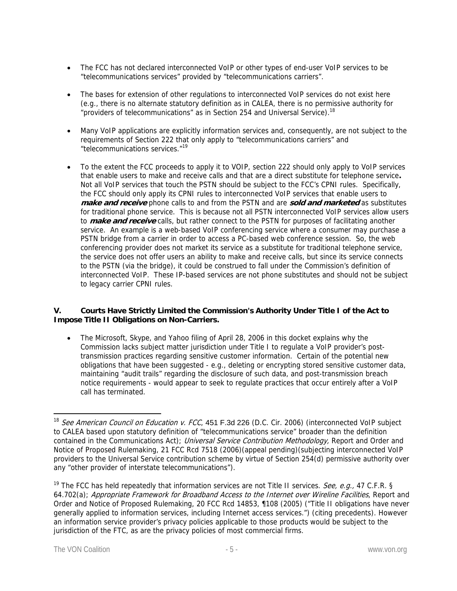- The FCC has not declared interconnected VoIP or other types of end-user VoIP services to be "telecommunications services" provided by "telecommunications carriers".
- The bases for extension of other regulations to interconnected VoIP services do not exist here (e.g., there is no alternate statutory definition as in CALEA, there is no permissive authority for "providers of telecommunications" as in Section 254 and Universal Service).<sup>18</sup>
- Many VoIP applications are explicitly information services and, consequently, are not subject to the requirements of Section 222 that only apply to "telecommunications carriers" and "telecommunications services."19
- To the extent the FCC proceeds to apply it to VOIP, section 222 should only apply to VoIP services that enable users to make and receive calls and that are a direct substitute for telephone service**.**  Not all VoIP services that touch the PSTN should be subject to the FCC's CPNI rules. Specifically, the FCC should only apply its CPNI rules to interconnected VoIP services that enable users to **make and receive** phone calls to and from the PSTN and are **sold and marketed** as substitutes for traditional phone service. This is because not all PSTN interconnected VoIP services allow users to **make and receive** calls, but rather connect to the PSTN for purposes of facilitating another service. An example is a web-based VoIP conferencing service where a consumer may purchase a PSTN bridge from a carrier in order to access a PC-based web conference session. So, the web conferencing provider does not market its service as a substitute for traditional telephone service, the service does not offer users an ability to make and receive calls, but since its service connects to the PSTN (via the bridge), it could be construed to fall under the Commission's definition of interconnected VoIP. These IP-based services are not phone substitutes and should not be subject to legacy carrier CPNI rules.

## **V. Courts Have Strictly Limited the Commission's Authority Under Title I of the Act to Impose Title II Obligations on Non-Carriers.**

• The Microsoft, Skype, and Yahoo filing of April 28, 2006 in this docket explains why the Commission lacks subject matter jurisdiction under Title I to regulate a VoIP provider's posttransmission practices regarding sensitive customer information. Certain of the potential new obligations that have been suggested - e.g., deleting or encrypting stored sensitive customer data, maintaining "audit trails" regarding the disclosure of such data, and post-transmission breach notice requirements - would appear to seek to regulate practices that occur entirely after a VoIP call has terminated.

<sup>&</sup>lt;sup>18</sup> See American Council on Education v. FCC, 451 F.3d 226 (D.C. Cir. 2006) (interconnected VoIP subject to CALEA based upon statutory definition of "telecommunications service" broader than the definition contained in the Communications Act); Universal Service Contribution Methodology, Report and Order and Notice of Proposed Rulemaking, 21 FCC Rcd 7518 (2006)(appeal pending)(subjecting interconnected VoIP providers to the Universal Service contribution scheme by virtue of Section 254(d) permissive authority over any "other provider of interstate telecommunications").

<sup>&</sup>lt;sup>19</sup> The FCC has held repeatedly that information services are not Title II services. *See, e.g.*, 47 C.F.R. § 64.702(a); Appropriate Framework for Broadband Access to the Internet over Wireline Facilities, Report and Order and Notice of Proposed Rulemaking, 20 FCC Rcd 14853, ¶108 (2005) ("Title II obligations have never generally applied to information services, including Internet access services.") (citing precedents). However an information service provider's privacy policies applicable to those products would be subject to the jurisdiction of the FTC, as are the privacy policies of most commercial firms.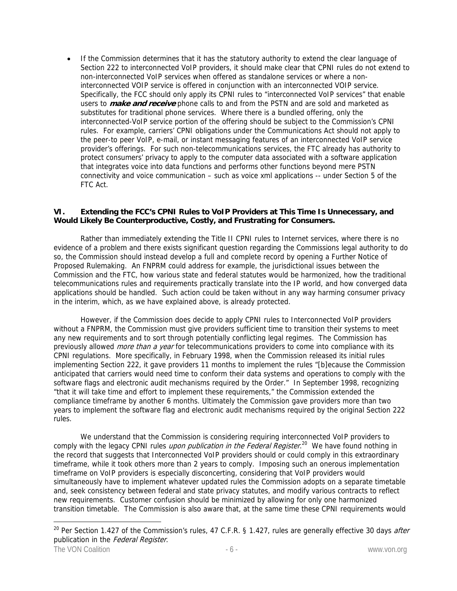• If the Commission determines that it has the statutory authority to extend the clear language of Section 222 to interconnected VoIP providers, it should make clear that CPNI rules do not extend to non-interconnected VoIP services when offered as standalone services or where a noninterconnected VOIP service is offered in conjunction with an interconnected VOIP service. Specifically, the FCC should only apply its CPNI rules to "interconnected VoIP services" that enable users to **make and receive** phone calls to and from the PSTN and are sold and marketed as substitutes for traditional phone services. Where there is a bundled offering, only the interconnected-VoIP service portion of the offering should be subject to the Commission's CPNI rules. For example, carriers' CPNI obligations under the Communications Act should not apply to the peer-to peer VoIP, e-mail, or instant messaging features of an interconnected VoIP service provider's offerings. For such non-telecommunications services, the FTC already has authority to protect consumers' privacy to apply to the computer data associated with a software application that integrates voice into data functions and performs other functions beyond mere PSTN connectivity and voice communication – such as voice xml applications -- under Section 5 of the FTC Act.

#### **VI. Extending the FCC's CPNI Rules to VoIP Providers at This Time Is Unnecessary, and Would Likely Be Counterproductive, Costly, and Frustrating for Consumers.**

 Rather than immediately extending the Title II CPNI rules to Internet services, where there is no evidence of a problem and there exists significant question regarding the Commissions legal authority to do so, the Commission should instead develop a full and complete record by opening a Further Notice of Proposed Rulemaking. An FNPRM could address for example, the jurisdictional issues between the Commission and the FTC, how various state and federal statutes would be harmonized, how the traditional telecommunications rules and requirements practically translate into the IP world, and how converged data applications should be handled. Such action could be taken without in any way harming consumer privacy in the interim, which, as we have explained above, is already protected.

 However, if the Commission does decide to apply CPNI rules to Interconnected VoIP providers without a FNPRM, the Commission must give providers sufficient time to transition their systems to meet any new requirements and to sort through potentially conflicting legal regimes. The Commission has previously allowed *more than a year* for telecommunications providers to come into compliance with its CPNI regulations. More specifically, in February 1998, when the Commission released its initial rules implementing Section 222, it gave providers 11 months to implement the rules "[b]ecause the Commission anticipated that carriers would need time to conform their data systems and operations to comply with the software flags and electronic audit mechanisms required by the Order." In September 1998, recognizing "that it will take time and effort to implement these requirements," the Commission extended the compliance timeframe by another 6 months. Ultimately the Commission gave providers more than two years to implement the software flag and electronic audit mechanisms required by the original Section 222 rules.

We understand that the Commission is considering requiring interconnected VoIP providers to comply with the legacy CPNI rules *upon publication in the Federal Register*.<sup>20</sup> We have found nothing in the record that suggests that Interconnected VoIP providers should or could comply in this extraordinary timeframe, while it took others more than 2 years to comply. Imposing such an onerous implementation timeframe on VoIP providers is especially disconcerting, considering that VoIP providers would simultaneously have to implement whatever updated rules the Commission adopts on a separate timetable and, seek consistency between federal and state privacy statutes, and modify various contracts to reflect new requirements. Customer confusion should be minimized by allowing for only one harmonized transition timetable. The Commission is also aware that, at the same time these CPNI requirements would

<sup>&</sup>lt;sup>20</sup> Per Section 1.427 of the Commission's rules, 47 C.F.R. § 1.427, rules are generally effective 30 days *after* publication in the Federal Register.